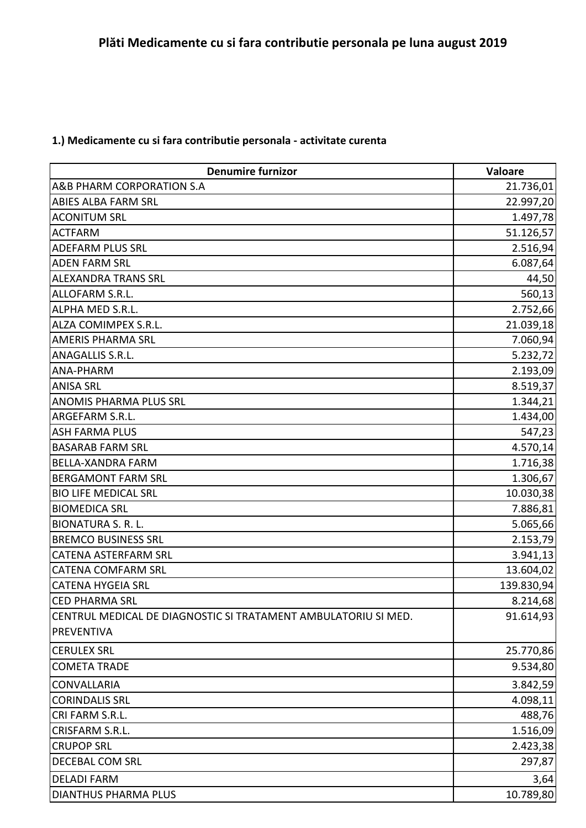## **1.) Medicamente cu si fara contributie personala - activitate curenta**

| <b>Denumire furnizor</b>                                       | Valoare    |
|----------------------------------------------------------------|------------|
| A&B PHARM CORPORATION S.A                                      | 21.736,01  |
| <b>ABIES ALBA FARM SRL</b>                                     | 22.997,20  |
| <b>ACONITUM SRL</b>                                            | 1.497,78   |
| <b>ACTFARM</b>                                                 | 51.126,57  |
| <b>ADEFARM PLUS SRL</b>                                        | 2.516,94   |
| <b>ADEN FARM SRL</b>                                           | 6.087,64   |
| <b>ALEXANDRA TRANS SRL</b>                                     | 44,50      |
| ALLOFARM S.R.L.                                                | 560,13     |
| ALPHA MED S.R.L.                                               | 2.752,66   |
| ALZA COMIMPEX S.R.L.                                           | 21.039,18  |
| <b>AMERIS PHARMA SRL</b>                                       | 7.060,94   |
| ANAGALLIS S.R.L.                                               | 5.232,72   |
| ANA-PHARM                                                      | 2.193,09   |
| <b>ANISA SRL</b>                                               | 8.519,37   |
| <b>ANOMIS PHARMA PLUS SRL</b>                                  | 1.344,21   |
| ARGEFARM S.R.L.                                                | 1.434,00   |
| <b>ASH FARMA PLUS</b>                                          | 547,23     |
| <b>BASARAB FARM SRL</b>                                        | 4.570,14   |
| BELLA-XANDRA FARM                                              | 1.716,38   |
| <b>BERGAMONT FARM SRL</b>                                      | 1.306,67   |
| <b>BIO LIFE MEDICAL SRL</b>                                    | 10.030,38  |
| <b>BIOMEDICA SRL</b>                                           | 7.886,81   |
| <b>BIONATURA S. R. L.</b>                                      | 5.065,66   |
| <b>BREMCO BUSINESS SRL</b>                                     | 2.153,79   |
| <b>CATENA ASTERFARM SRL</b>                                    | 3.941,13   |
| <b>CATENA COMFARM SRL</b>                                      | 13.604,02  |
| <b>CATENA HYGEIA SRL</b>                                       | 139.830,94 |
| <b>CED PHARMA SRL</b>                                          | 8.214,68   |
| CENTRUL MEDICAL DE DIAGNOSTIC SI TRATAMENT AMBULATORIU SI MED. | 91.614,93  |
| PREVENTIVA                                                     |            |
| <b>CERULEX SRL</b>                                             | 25.770,86  |
| <b>COMETA TRADE</b>                                            | 9.534,80   |
| <b>CONVALLARIA</b>                                             | 3.842,59   |
| <b>CORINDALIS SRL</b>                                          | 4.098,11   |
| CRI FARM S.R.L.                                                | 488,76     |
| CRISFARM S.R.L.                                                | 1.516,09   |
| <b>CRUPOP SRL</b>                                              | 2.423,38   |
| DECEBAL COM SRL                                                | 297,87     |
| <b>DELADI FARM</b>                                             | 3,64       |
| <b>DIANTHUS PHARMA PLUS</b>                                    | 10.789,80  |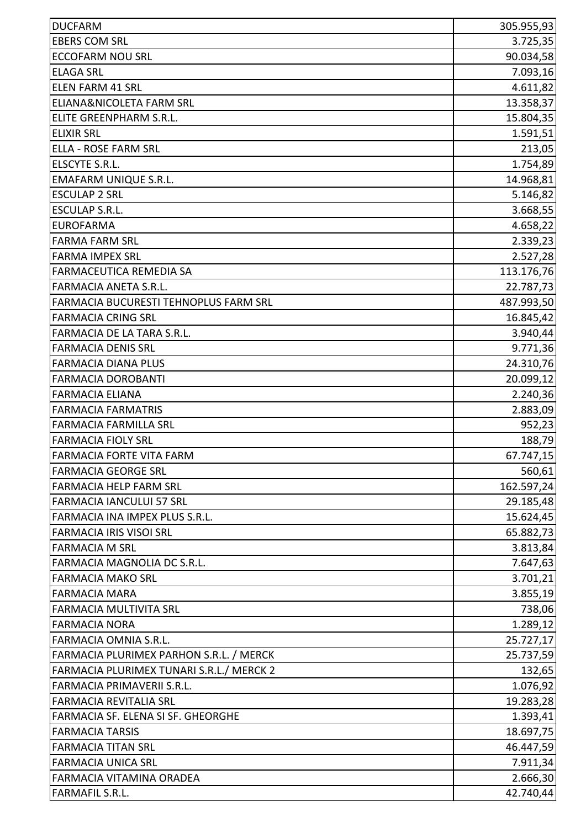| <b>DUCFARM</b>                           | 305.955,93 |
|------------------------------------------|------------|
| <b>EBERS COM SRL</b>                     | 3.725,35   |
| <b>ECCOFARM NOU SRL</b>                  | 90.034,58  |
| <b>ELAGA SRL</b>                         | 7.093,16   |
| <b>ELEN FARM 41 SRL</b>                  | 4.611,82   |
| ELIANA&NICOLETA FARM SRL                 | 13.358,37  |
| ELITE GREENPHARM S.R.L.                  | 15.804,35  |
| <b>ELIXIR SRL</b>                        | 1.591,51   |
| <b>ELLA - ROSE FARM SRL</b>              | 213,05     |
| ELSCYTE S.R.L.                           | 1.754,89   |
| <b>EMAFARM UNIQUE S.R.L.</b>             | 14.968,81  |
| <b>ESCULAP 2 SRL</b>                     | 5.146,82   |
| <b>ESCULAP S.R.L.</b>                    | 3.668,55   |
| <b>EUROFARMA</b>                         | 4.658,22   |
| <b>FARMA FARM SRL</b>                    | 2.339,23   |
| <b>FARMA IMPEX SRL</b>                   | 2.527,28   |
| FARMACEUTICA REMEDIA SA                  | 113.176,76 |
| <b>FARMACIA ANETA S.R.L.</b>             | 22.787,73  |
| FARMACIA BUCURESTI TEHNOPLUS FARM SRL    | 487.993,50 |
| <b>FARMACIA CRING SRL</b>                | 16.845,42  |
| FARMACIA DE LA TARA S.R.L.               | 3.940,44   |
| <b>FARMACIA DENIS SRL</b>                | 9.771,36   |
| <b>FARMACIA DIANA PLUS</b>               | 24.310,76  |
| <b>FARMACIA DOROBANTI</b>                | 20.099,12  |
| <b>FARMACIA ELIANA</b>                   | 2.240,36   |
| <b>FARMACIA FARMATRIS</b>                | 2.883,09   |
| <b>FARMACIA FARMILLA SRL</b>             | 952,23     |
| <b>FARMACIA FIOLY SRL</b>                | 188,79     |
| <b>FARMACIA FORTE VITA FARM</b>          | 67.747,15  |
| <b>FARMACIA GEORGE SRL</b>               | 560,61     |
| <b>FARMACIA HELP FARM SRL</b>            | 162.597,24 |
| <b>FARMACIA IANCULUI 57 SRL</b>          | 29.185,48  |
| FARMACIA INA IMPEX PLUS S.R.L.           | 15.624,45  |
| <b>FARMACIA IRIS VISOI SRL</b>           | 65.882,73  |
| <b>FARMACIA M SRL</b>                    | 3.813,84   |
| FARMACIA MAGNOLIA DC S.R.L.              | 7.647,63   |
| <b>FARMACIA MAKO SRL</b>                 | 3.701,21   |
| <b>FARMACIA MARA</b>                     | 3.855,19   |
| <b>FARMACIA MULTIVITA SRL</b>            | 738,06     |
| <b>FARMACIA NORA</b>                     | 1.289,12   |
| FARMACIA OMNIA S.R.L.                    | 25.727,17  |
| FARMACIA PLURIMEX PARHON S.R.L. / MERCK  | 25.737,59  |
| FARMACIA PLURIMEX TUNARI S.R.L./ MERCK 2 | 132,65     |
| FARMACIA PRIMAVERII S.R.L.               | 1.076,92   |
| <b>FARMACIA REVITALIA SRL</b>            | 19.283,28  |
| FARMACIA SF. ELENA SI SF. GHEORGHE       | 1.393,41   |
| <b>FARMACIA TARSIS</b>                   | 18.697,75  |
| <b>FARMACIA TITAN SRL</b>                | 46.447,59  |
| <b>FARMACIA UNICA SRL</b>                | 7.911,34   |
| FARMACIA VITAMINA ORADEA                 | 2.666,30   |
| <b>FARMAFIL S.R.L.</b>                   | 42.740,44  |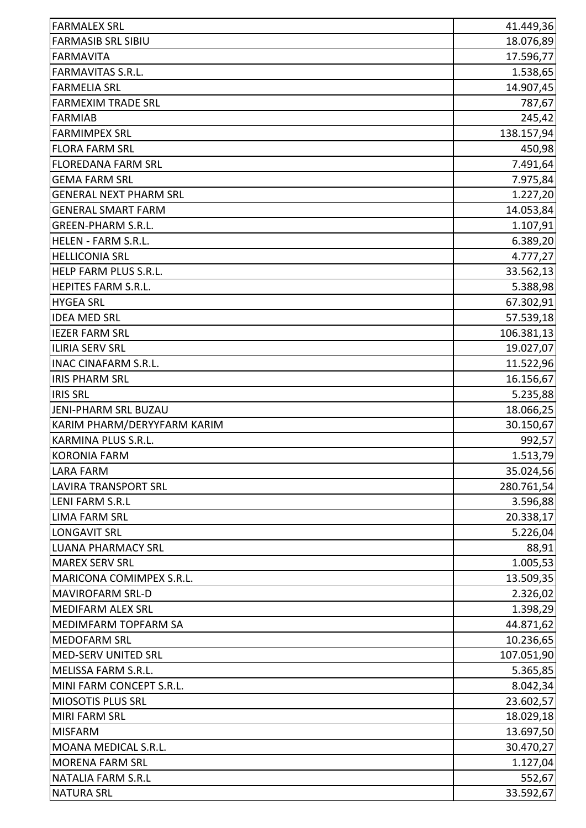| <b>FARMALEX SRL</b>           | 41.449,36  |
|-------------------------------|------------|
| <b>FARMASIB SRL SIBIU</b>     | 18.076,89  |
| <b>FARMAVITA</b>              | 17.596,77  |
| <b>FARMAVITAS S.R.L.</b>      | 1.538,65   |
| <b>FARMELIA SRL</b>           | 14.907,45  |
| <b>FARMEXIM TRADE SRL</b>     | 787,67     |
| <b>FARMIAB</b>                | 245,42     |
| <b>FARMIMPEX SRL</b>          | 138.157,94 |
| <b>FLORA FARM SRL</b>         | 450,98     |
| <b>FLOREDANA FARM SRL</b>     | 7.491,64   |
| <b>GEMA FARM SRL</b>          | 7.975,84   |
| <b>GENERAL NEXT PHARM SRL</b> | 1.227,20   |
| <b>GENERAL SMART FARM</b>     | 14.053,84  |
| <b>GREEN-PHARM S.R.L.</b>     | 1.107,91   |
| HELEN - FARM S.R.L.           | 6.389,20   |
| <b>HELLICONIA SRL</b>         | 4.777,27   |
| HELP FARM PLUS S.R.L.         | 33.562,13  |
| HEPITES FARM S.R.L.           | 5.388,98   |
| <b>HYGEA SRL</b>              | 67.302,91  |
| <b>IDEA MED SRL</b>           | 57.539,18  |
| <b>IEZER FARM SRL</b>         | 106.381,13 |
| <b>ILIRIA SERV SRL</b>        | 19.027,07  |
| <b>INAC CINAFARM S.R.L.</b>   | 11.522,96  |
| <b>IRIS PHARM SRL</b>         | 16.156,67  |
| <b>IRIS SRL</b>               | 5.235,88   |
| JENI-PHARM SRL BUZAU          | 18.066,25  |
| KARIM PHARM/DERYYFARM KARIM   | 30.150,67  |
| KARMINA PLUS S.R.L.           | 992,57     |
| KORONIA FARM                  | 1.513,79   |
| <b>LARA FARM</b>              | 35.024,56  |
| <b>LAVIRA TRANSPORT SRL</b>   | 280.761,54 |
| <b>LENI FARM S.R.L</b>        | 3.596,88   |
| <b>LIMA FARM SRL</b>          | 20.338,17  |
| <b>LONGAVIT SRL</b>           | 5.226,04   |
| <b>LUANA PHARMACY SRL</b>     | 88,91      |
| <b>MAREX SERV SRL</b>         | 1.005,53   |
| MARICONA COMIMPEX S.R.L.      | 13.509,35  |
| <b>MAVIROFARM SRL-D</b>       | 2.326,02   |
| <b>MEDIFARM ALEX SRL</b>      | 1.398,29   |
| MEDIMFARM TOPFARM SA          | 44.871,62  |
| <b>MEDOFARM SRL</b>           | 10.236,65  |
| <b>MED-SERV UNITED SRL</b>    | 107.051,90 |
| MELISSA FARM S.R.L.           | 5.365,85   |
| MINI FARM CONCEPT S.R.L.      | 8.042,34   |
| <b>MIOSOTIS PLUS SRL</b>      | 23.602,57  |
| <b>MIRI FARM SRL</b>          | 18.029,18  |
| <b>MISFARM</b>                | 13.697,50  |
| MOANA MEDICAL S.R.L.          | 30.470,27  |
| <b>MORENA FARM SRL</b>        | 1.127,04   |
| <b>NATALIA FARM S.R.L</b>     | 552,67     |
| <b>NATURA SRL</b>             | 33.592,67  |
|                               |            |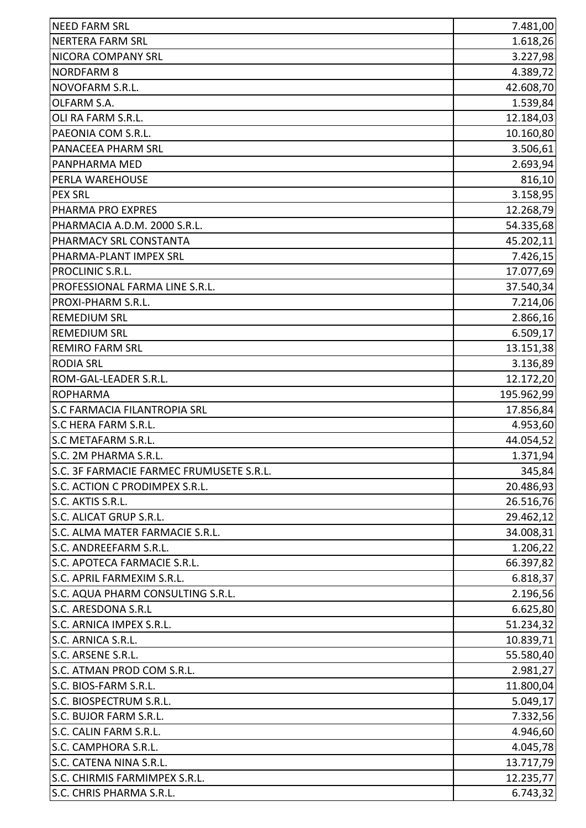| <b>NEED FARM SRL</b>                     | 7.481,00   |
|------------------------------------------|------------|
| <b>NERTERA FARM SRL</b>                  | 1.618,26   |
| NICORA COMPANY SRL                       | 3.227,98   |
| <b>NORDFARM 8</b>                        | 4.389,72   |
| NOVOFARM S.R.L.                          | 42.608,70  |
| OLFARM S.A.                              | 1.539,84   |
| OLI RA FARM S.R.L.                       | 12.184,03  |
| PAEONIA COM S.R.L.                       | 10.160,80  |
| PANACEEA PHARM SRL                       | 3.506,61   |
| PANPHARMA MED                            | 2.693,94   |
| PERLA WAREHOUSE                          | 816,10     |
| <b>PEX SRL</b>                           | 3.158,95   |
| PHARMA PRO EXPRES                        | 12.268,79  |
| PHARMACIA A.D.M. 2000 S.R.L.             | 54.335,68  |
| PHARMACY SRL CONSTANTA                   | 45.202,11  |
| PHARMA-PLANT IMPEX SRL                   | 7.426,15   |
| PROCLINIC S.R.L.                         | 17.077,69  |
| PROFESSIONAL FARMA LINE S.R.L.           | 37.540,34  |
| PROXI-PHARM S.R.L.                       | 7.214,06   |
| <b>REMEDIUM SRL</b>                      | 2.866,16   |
| <b>REMEDIUM SRL</b>                      | 6.509,17   |
| <b>REMIRO FARM SRL</b>                   | 13.151,38  |
| <b>RODIA SRL</b>                         | 3.136,89   |
| ROM-GAL-LEADER S.R.L.                    | 12.172,20  |
| <b>ROPHARMA</b>                          | 195.962,99 |
| <b>S.C FARMACIA FILANTROPIA SRL</b>      | 17.856,84  |
| S.C HERA FARM S.R.L.                     | 4.953,60   |
| S.C METAFARM S.R.L.                      | 44.054,52  |
| lS.C. 2M PHARMA S.R.L                    | 1.371,94   |
| S.C. 3F FARMACIE FARMEC FRUMUSETE S.R.L. | 345,84     |
| S.C. ACTION C PRODIMPEX S.R.L.           | 20.486,93  |
| S.C. AKTIS S.R.L.                        | 26.516,76  |
| S.C. ALICAT GRUP S.R.L.                  | 29.462,12  |
| S.C. ALMA MATER FARMACIE S.R.L.          | 34.008,31  |
| S.C. ANDREEFARM S.R.L.                   | 1.206,22   |
| S.C. APOTECA FARMACIE S.R.L.             | 66.397,82  |
| S.C. APRIL FARMEXIM S.R.L.               | 6.818,37   |
| S.C. AQUA PHARM CONSULTING S.R.L.        | 2.196,56   |
| S.C. ARESDONA S.R.L                      | 6.625,80   |
| S.C. ARNICA IMPEX S.R.L.                 | 51.234,32  |
| S.C. ARNICA S.R.L.                       | 10.839,71  |
| S.C. ARSENE S.R.L.                       | 55.580,40  |
| S.C. ATMAN PROD COM S.R.L.               | 2.981,27   |
| S.C. BIOS-FARM S.R.L.                    | 11.800,04  |
| S.C. BIOSPECTRUM S.R.L.                  | 5.049,17   |
| S.C. BUJOR FARM S.R.L.                   | 7.332,56   |
| S.C. CALIN FARM S.R.L.                   | 4.946,60   |
| S.C. CAMPHORA S.R.L.                     | 4.045,78   |
| S.C. CATENA NINA S.R.L.                  | 13.717,79  |
| S.C. CHIRMIS FARMIMPEX S.R.L.            | 12.235,77  |
| S.C. CHRIS PHARMA S.R.L.                 | 6.743,32   |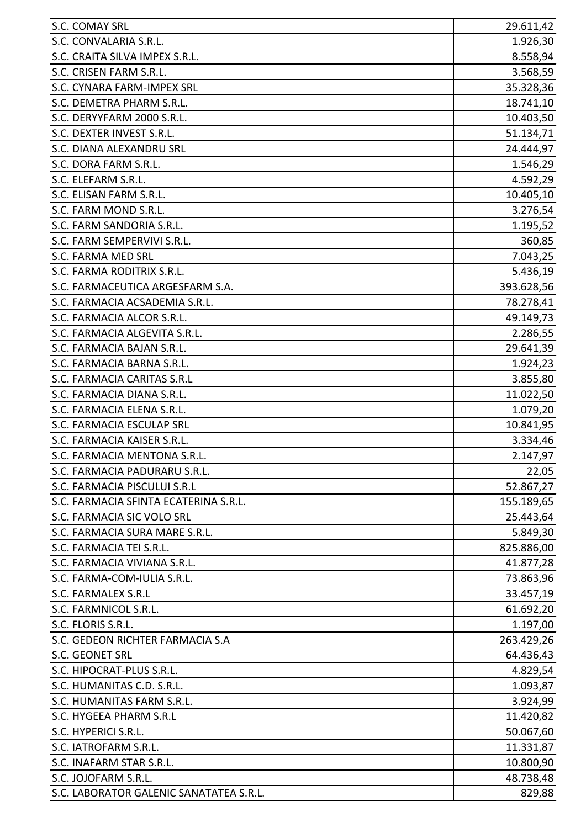| <b>S.C. COMAY SRL</b>                   | 29.611,42  |
|-----------------------------------------|------------|
| S.C. CONVALARIA S.R.L.                  | 1.926,30   |
| S.C. CRAITA SILVA IMPEX S.R.L.          | 8.558,94   |
| S.C. CRISEN FARM S.R.L.                 | 3.568,59   |
| S.C. CYNARA FARM-IMPEX SRL              | 35.328,36  |
| S.C. DEMETRA PHARM S.R.L.               | 18.741,10  |
| S.C. DERYYFARM 2000 S.R.L.              | 10.403,50  |
| S.C. DEXTER INVEST S.R.L.               | 51.134,71  |
| <b>S.C. DIANA ALEXANDRU SRL</b>         | 24.444,97  |
| S.C. DORA FARM S.R.L.                   | 1.546,29   |
| S.C. ELEFARM S.R.L.                     | 4.592,29   |
| S.C. ELISAN FARM S.R.L.                 | 10.405,10  |
| S.C. FARM MOND S.R.L.                   | 3.276,54   |
| S.C. FARM SANDORIA S.R.L.               | 1.195,52   |
| S.C. FARM SEMPERVIVI S.R.L.             | 360,85     |
| <b>S.C. FARMA MED SRL</b>               | 7.043,25   |
| S.C. FARMA RODITRIX S.R.L.              | 5.436,19   |
| S.C. FARMACEUTICA ARGESFARM S.A.        | 393.628,56 |
| S.C. FARMACIA ACSADEMIA S.R.L.          | 78.278,41  |
| S.C. FARMACIA ALCOR S.R.L.              | 49.149,73  |
| S.C. FARMACIA ALGEVITA S.R.L.           | 2.286,55   |
| S.C. FARMACIA BAJAN S.R.L.              | 29.641,39  |
| S.C. FARMACIA BARNA S.R.L.              | 1.924, 23  |
| S.C. FARMACIA CARITAS S.R.L             | 3.855,80   |
| S.C. FARMACIA DIANA S.R.L.              | 11.022,50  |
| S.C. FARMACIA ELENA S.R.L.              | 1.079,20   |
| <b>S.C. FARMACIA ESCULAP SRL</b>        | 10.841,95  |
| S.C. FARMACIA KAISER S.R.L.             | 3.334,46   |
| S.C. FARMACIA MENTONA S.R.L             | 2.147,97   |
| S.C. FARMACIA PADURARU S.R.L.           | 22,05      |
| S.C. FARMACIA PISCULUI S.R.L            | 52.867,27  |
| S.C. FARMACIA SFINTA ECATERINA S.R.L.   | 155.189,65 |
| S.C. FARMACIA SIC VOLO SRL              | 25.443,64  |
| S.C. FARMACIA SURA MARE S.R.L.          | 5.849,30   |
| S.C. FARMACIA TEI S.R.L.                | 825.886,00 |
| S.C. FARMACIA VIVIANA S.R.L.            | 41.877,28  |
| S.C. FARMA-COM-IULIA S.R.L.             | 73.863,96  |
| <b>S.C. FARMALEX S.R.L</b>              | 33.457,19  |
| S.C. FARMNICOL S.R.L.                   | 61.692,20  |
| S.C. FLORIS S.R.L.                      | 1.197,00   |
| S.C. GEDEON RICHTER FARMACIA S.A        | 263.429,26 |
| <b>S.C. GEONET SRL</b>                  | 64.436,43  |
| S.C. HIPOCRAT-PLUS S.R.L.               | 4.829,54   |
| S.C. HUMANITAS C.D. S.R.L.              | 1.093,87   |
| S.C. HUMANITAS FARM S.R.L.              | 3.924,99   |
| S.C. HYGEEA PHARM S.R.L                 | 11.420,82  |
| S.C. HYPERICI S.R.L.                    | 50.067,60  |
| S.C. IATROFARM S.R.L.                   | 11.331,87  |
| S.C. INAFARM STAR S.R.L.                | 10.800,90  |
| S.C. JOJOFARM S.R.L.                    | 48.738,48  |
| S.C. LABORATOR GALENIC SANATATEA S.R.L. | 829,88     |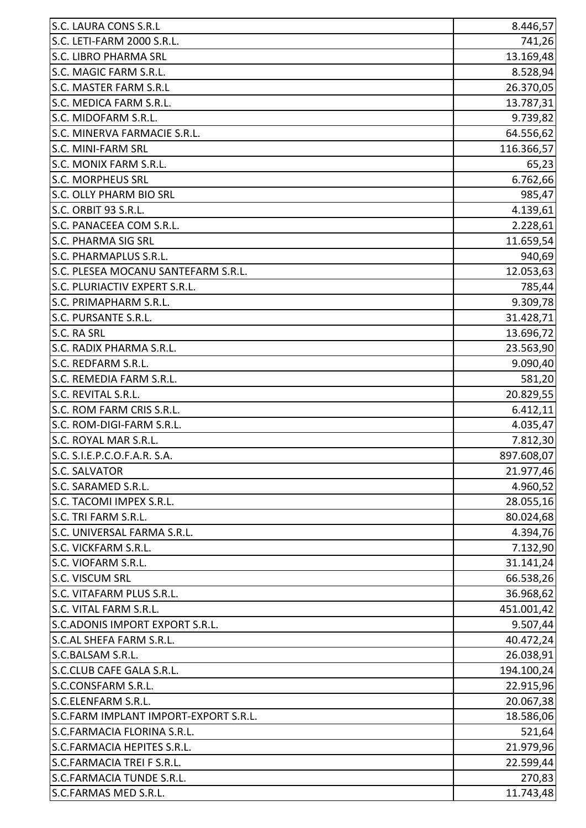| S.C. MAGIC FARM S.R.L.<br>S.C. MEDICA FARM S.R.L.<br><b>S.C. MINI-FARM SRL</b><br>S.C. MONIX FARM S.R.L.<br>4.139,61<br>S.C. PANACEEA COM S.R.L.<br><b>S.C. PHARMA SIG SRL</b><br>11.659,54<br>940,69<br>12.053,63<br>785,44<br>S.C. PRIMAPHARM S.R.L.<br>9.309,78<br>S.C. PURSANTE S.R.L.<br>31.428,71<br>13.696,72<br>S.C. RADIX PHARMA S.R.L.<br>23.563,90<br>9.090,40<br>S.C. REMEDIA FARM S.R.L.<br>581,20<br>20.829,55<br>6.412,11<br>4.035,47<br>897.608,07<br><b>S.C. SALVATOR</b><br>S.C. SARAMED S.R.L.<br>S.C. TACOMI IMPEX S.R.L.<br>S.C. UNIVERSAL FARMA S.R.L.<br>7.132,90<br>S.C. VICKFARM S.R.L.<br>31.141,24<br>S.C. VISCUM SRL<br>66.538,26<br>S.C. VITAFARM PLUS S.R.L.<br>36.968,62<br>S.C. VITAL FARM S.R.L.<br>451.001,42<br>S.C.ADONIS IMPORT EXPORT S.R.L.<br>S.C.AL SHEFA FARM S.R.L.<br>S.C.BALSAM S.R.L.<br>S.C.CLUB CAFE GALA S.R.L.<br>S.C.CONSFARM S.R.L.<br>20.067,38<br>S.C.ELENFARM S.R.L.<br>S.C.FARMACIA FLORINA S.R.L.<br>S.C.FARMACIA HEPITES S.R.L.<br>S.C.FARMACIA TREI F S.R.L.<br>S.C.FARMACIA TUNDE S.R.L.<br>S.C.FARMAS MED S.R.L. | <b>S.C. LAURA CONS S.R.L</b>          | 8.446,57   |
|-------------------------------------------------------------------------------------------------------------------------------------------------------------------------------------------------------------------------------------------------------------------------------------------------------------------------------------------------------------------------------------------------------------------------------------------------------------------------------------------------------------------------------------------------------------------------------------------------------------------------------------------------------------------------------------------------------------------------------------------------------------------------------------------------------------------------------------------------------------------------------------------------------------------------------------------------------------------------------------------------------------------------------------------------------------------------------|---------------------------------------|------------|
|                                                                                                                                                                                                                                                                                                                                                                                                                                                                                                                                                                                                                                                                                                                                                                                                                                                                                                                                                                                                                                                                               | S.C. LETI-FARM 2000 S.R.L.            | 741,26     |
|                                                                                                                                                                                                                                                                                                                                                                                                                                                                                                                                                                                                                                                                                                                                                                                                                                                                                                                                                                                                                                                                               | <b>S.C. LIBRO PHARMA SRL</b>          | 13.169,48  |
|                                                                                                                                                                                                                                                                                                                                                                                                                                                                                                                                                                                                                                                                                                                                                                                                                                                                                                                                                                                                                                                                               |                                       | 8.528,94   |
|                                                                                                                                                                                                                                                                                                                                                                                                                                                                                                                                                                                                                                                                                                                                                                                                                                                                                                                                                                                                                                                                               | <b>S.C. MASTER FARM S.R.L</b>         | 26.370,05  |
|                                                                                                                                                                                                                                                                                                                                                                                                                                                                                                                                                                                                                                                                                                                                                                                                                                                                                                                                                                                                                                                                               |                                       | 13.787,31  |
|                                                                                                                                                                                                                                                                                                                                                                                                                                                                                                                                                                                                                                                                                                                                                                                                                                                                                                                                                                                                                                                                               | S.C. MIDOFARM S.R.L.                  | 9.739,82   |
|                                                                                                                                                                                                                                                                                                                                                                                                                                                                                                                                                                                                                                                                                                                                                                                                                                                                                                                                                                                                                                                                               | S.C. MINERVA FARMACIE S.R.L.          | 64.556,62  |
|                                                                                                                                                                                                                                                                                                                                                                                                                                                                                                                                                                                                                                                                                                                                                                                                                                                                                                                                                                                                                                                                               |                                       | 116.366,57 |
|                                                                                                                                                                                                                                                                                                                                                                                                                                                                                                                                                                                                                                                                                                                                                                                                                                                                                                                                                                                                                                                                               |                                       | 65,23      |
|                                                                                                                                                                                                                                                                                                                                                                                                                                                                                                                                                                                                                                                                                                                                                                                                                                                                                                                                                                                                                                                                               | <b>S.C. MORPHEUS SRL</b>              | 6.762,66   |
|                                                                                                                                                                                                                                                                                                                                                                                                                                                                                                                                                                                                                                                                                                                                                                                                                                                                                                                                                                                                                                                                               | <b>S.C. OLLY PHARM BIO SRL</b>        | 985,47     |
|                                                                                                                                                                                                                                                                                                                                                                                                                                                                                                                                                                                                                                                                                                                                                                                                                                                                                                                                                                                                                                                                               | S.C. ORBIT 93 S.R.L.                  |            |
|                                                                                                                                                                                                                                                                                                                                                                                                                                                                                                                                                                                                                                                                                                                                                                                                                                                                                                                                                                                                                                                                               |                                       | 2.228,61   |
|                                                                                                                                                                                                                                                                                                                                                                                                                                                                                                                                                                                                                                                                                                                                                                                                                                                                                                                                                                                                                                                                               |                                       |            |
|                                                                                                                                                                                                                                                                                                                                                                                                                                                                                                                                                                                                                                                                                                                                                                                                                                                                                                                                                                                                                                                                               | S.C. PHARMAPLUS S.R.L.                |            |
|                                                                                                                                                                                                                                                                                                                                                                                                                                                                                                                                                                                                                                                                                                                                                                                                                                                                                                                                                                                                                                                                               | S.C. PLESEA MOCANU SANTEFARM S.R.L.   |            |
|                                                                                                                                                                                                                                                                                                                                                                                                                                                                                                                                                                                                                                                                                                                                                                                                                                                                                                                                                                                                                                                                               | S.C. PLURIACTIV EXPERT S.R.L.         |            |
|                                                                                                                                                                                                                                                                                                                                                                                                                                                                                                                                                                                                                                                                                                                                                                                                                                                                                                                                                                                                                                                                               |                                       |            |
|                                                                                                                                                                                                                                                                                                                                                                                                                                                                                                                                                                                                                                                                                                                                                                                                                                                                                                                                                                                                                                                                               |                                       |            |
|                                                                                                                                                                                                                                                                                                                                                                                                                                                                                                                                                                                                                                                                                                                                                                                                                                                                                                                                                                                                                                                                               | S.C. RA SRL                           |            |
|                                                                                                                                                                                                                                                                                                                                                                                                                                                                                                                                                                                                                                                                                                                                                                                                                                                                                                                                                                                                                                                                               |                                       |            |
|                                                                                                                                                                                                                                                                                                                                                                                                                                                                                                                                                                                                                                                                                                                                                                                                                                                                                                                                                                                                                                                                               | S.C. REDFARM S.R.L.                   |            |
|                                                                                                                                                                                                                                                                                                                                                                                                                                                                                                                                                                                                                                                                                                                                                                                                                                                                                                                                                                                                                                                                               |                                       |            |
|                                                                                                                                                                                                                                                                                                                                                                                                                                                                                                                                                                                                                                                                                                                                                                                                                                                                                                                                                                                                                                                                               | S.C. REVITAL S.R.L.                   |            |
|                                                                                                                                                                                                                                                                                                                                                                                                                                                                                                                                                                                                                                                                                                                                                                                                                                                                                                                                                                                                                                                                               | S.C. ROM FARM CRIS S.R.L.             |            |
|                                                                                                                                                                                                                                                                                                                                                                                                                                                                                                                                                                                                                                                                                                                                                                                                                                                                                                                                                                                                                                                                               | S.C. ROM-DIGI-FARM S.R.L.             |            |
|                                                                                                                                                                                                                                                                                                                                                                                                                                                                                                                                                                                                                                                                                                                                                                                                                                                                                                                                                                                                                                                                               | S.C. ROYAL MAR S.R.L.                 | 7.812,30   |
|                                                                                                                                                                                                                                                                                                                                                                                                                                                                                                                                                                                                                                                                                                                                                                                                                                                                                                                                                                                                                                                                               | S.C. S.I.E.P.C.O.F.A.R. S.A.          |            |
|                                                                                                                                                                                                                                                                                                                                                                                                                                                                                                                                                                                                                                                                                                                                                                                                                                                                                                                                                                                                                                                                               |                                       | 21.977,46  |
|                                                                                                                                                                                                                                                                                                                                                                                                                                                                                                                                                                                                                                                                                                                                                                                                                                                                                                                                                                                                                                                                               |                                       | 4.960,52   |
|                                                                                                                                                                                                                                                                                                                                                                                                                                                                                                                                                                                                                                                                                                                                                                                                                                                                                                                                                                                                                                                                               |                                       | 28.055,16  |
|                                                                                                                                                                                                                                                                                                                                                                                                                                                                                                                                                                                                                                                                                                                                                                                                                                                                                                                                                                                                                                                                               | S.C. TRI FARM S.R.L.                  | 80.024,68  |
|                                                                                                                                                                                                                                                                                                                                                                                                                                                                                                                                                                                                                                                                                                                                                                                                                                                                                                                                                                                                                                                                               |                                       | 4.394,76   |
|                                                                                                                                                                                                                                                                                                                                                                                                                                                                                                                                                                                                                                                                                                                                                                                                                                                                                                                                                                                                                                                                               |                                       |            |
|                                                                                                                                                                                                                                                                                                                                                                                                                                                                                                                                                                                                                                                                                                                                                                                                                                                                                                                                                                                                                                                                               | S.C. VIOFARM S.R.L.                   |            |
|                                                                                                                                                                                                                                                                                                                                                                                                                                                                                                                                                                                                                                                                                                                                                                                                                                                                                                                                                                                                                                                                               |                                       |            |
|                                                                                                                                                                                                                                                                                                                                                                                                                                                                                                                                                                                                                                                                                                                                                                                                                                                                                                                                                                                                                                                                               |                                       |            |
|                                                                                                                                                                                                                                                                                                                                                                                                                                                                                                                                                                                                                                                                                                                                                                                                                                                                                                                                                                                                                                                                               |                                       |            |
|                                                                                                                                                                                                                                                                                                                                                                                                                                                                                                                                                                                                                                                                                                                                                                                                                                                                                                                                                                                                                                                                               |                                       | 9.507,44   |
|                                                                                                                                                                                                                                                                                                                                                                                                                                                                                                                                                                                                                                                                                                                                                                                                                                                                                                                                                                                                                                                                               |                                       | 40.472,24  |
|                                                                                                                                                                                                                                                                                                                                                                                                                                                                                                                                                                                                                                                                                                                                                                                                                                                                                                                                                                                                                                                                               |                                       | 26.038,91  |
|                                                                                                                                                                                                                                                                                                                                                                                                                                                                                                                                                                                                                                                                                                                                                                                                                                                                                                                                                                                                                                                                               |                                       | 194.100,24 |
|                                                                                                                                                                                                                                                                                                                                                                                                                                                                                                                                                                                                                                                                                                                                                                                                                                                                                                                                                                                                                                                                               |                                       | 22.915,96  |
|                                                                                                                                                                                                                                                                                                                                                                                                                                                                                                                                                                                                                                                                                                                                                                                                                                                                                                                                                                                                                                                                               |                                       |            |
|                                                                                                                                                                                                                                                                                                                                                                                                                                                                                                                                                                                                                                                                                                                                                                                                                                                                                                                                                                                                                                                                               | S.C.FARM IMPLANT IMPORT-EXPORT S.R.L. | 18.586,06  |
|                                                                                                                                                                                                                                                                                                                                                                                                                                                                                                                                                                                                                                                                                                                                                                                                                                                                                                                                                                                                                                                                               |                                       | 521,64     |
|                                                                                                                                                                                                                                                                                                                                                                                                                                                                                                                                                                                                                                                                                                                                                                                                                                                                                                                                                                                                                                                                               |                                       | 21.979,96  |
|                                                                                                                                                                                                                                                                                                                                                                                                                                                                                                                                                                                                                                                                                                                                                                                                                                                                                                                                                                                                                                                                               |                                       | 22.599,44  |
|                                                                                                                                                                                                                                                                                                                                                                                                                                                                                                                                                                                                                                                                                                                                                                                                                                                                                                                                                                                                                                                                               |                                       | 270,83     |
|                                                                                                                                                                                                                                                                                                                                                                                                                                                                                                                                                                                                                                                                                                                                                                                                                                                                                                                                                                                                                                                                               |                                       | 11.743,48  |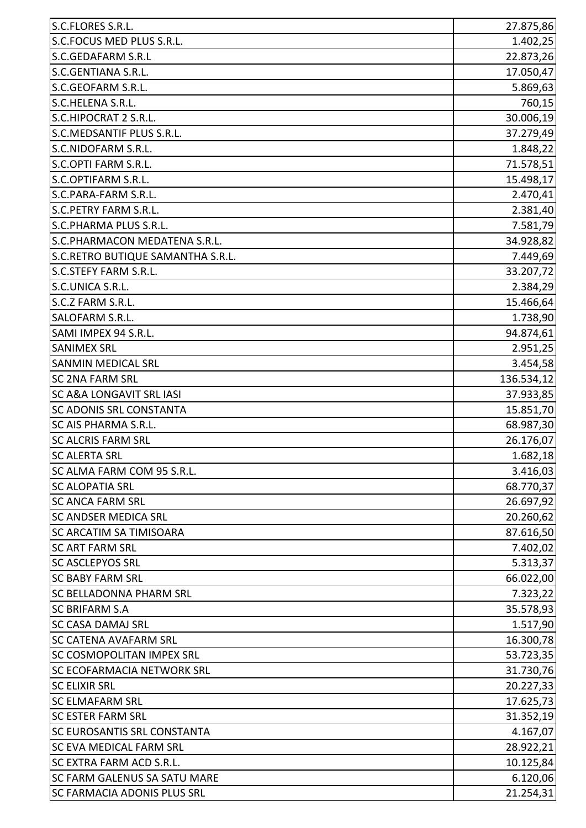| S.C.FLORES S.R.L.                   | 27.875,86  |
|-------------------------------------|------------|
| S.C.FOCUS MED PLUS S.R.L.           | 1.402,25   |
| <b>S.C.GEDAFARM S.R.L</b>           | 22.873,26  |
| S.C.GENTIANA S.R.L.                 | 17.050,47  |
| S.C.GEOFARM S.R.L.                  | 5.869,63   |
| S.C.HELENA S.R.L.                   | 760,15     |
| S.C.HIPOCRAT 2 S.R.L.               | 30.006,19  |
| S.C.MEDSANTIF PLUS S.R.L.           | 37.279,49  |
| S.C.NIDOFARM S.R.L.                 | 1.848,22   |
| S.C.OPTI FARM S.R.L.                | 71.578,51  |
| S.C.OPTIFARM S.R.L.                 | 15.498,17  |
| S.C.PARA-FARM S.R.L.                | 2.470,41   |
| <b>S.C.PETRY FARM S.R.L.</b>        | 2.381,40   |
| S.C.PHARMA PLUS S.R.L.              | 7.581,79   |
| S.C.PHARMACON MEDATENA S.R.L.       | 34.928,82  |
| S.C.RETRO BUTIQUE SAMANTHA S.R.L.   | 7.449,69   |
| <b>S.C.STEFY FARM S.R.L.</b>        | 33.207,72  |
| S.C.UNICA S.R.L.                    | 2.384,29   |
| S.C.Z FARM S.R.L.                   | 15.466,64  |
| <b>SALOFARM S.R.L.</b>              | 1.738,90   |
| SAMI IMPEX 94 S.R.L.                | 94.874,61  |
| <b>SANIMEX SRL</b>                  | 2.951,25   |
| <b>SANMIN MEDICAL SRL</b>           | 3.454,58   |
| <b>SC 2NA FARM SRL</b>              | 136.534,12 |
| <b>SC A&amp;A LONGAVIT SRL IASI</b> | 37.933,85  |
| <b>SC ADONIS SRL CONSTANTA</b>      | 15.851,70  |
| <b>SC AIS PHARMA S.R.L.</b>         | 68.987,30  |
| <b>SC ALCRIS FARM SRL</b>           | 26.176,07  |
| <b>SC ALERTA SRL</b>                | 1.682,18   |
| SC ALMA FARM COM 95 S.R.L.          | 3.416,03   |
| <b>SC ALOPATIA SRL</b>              | 68.770,37  |
| <b>SC ANCA FARM SRL</b>             | 26.697,92  |
| <b>SC ANDSER MEDICA SRL</b>         | 20.260,62  |
| <b>SC ARCATIM SA TIMISOARA</b>      | 87.616,50  |
| <b>SC ART FARM SRL</b>              | 7.402,02   |
| <b>SC ASCLEPYOS SRL</b>             | 5.313,37   |
| <b>SC BABY FARM SRL</b>             | 66.022,00  |
| <b>SC BELLADONNA PHARM SRL</b>      | 7.323,22   |
| <b>SC BRIFARM S.A</b>               | 35.578,93  |
| <b>SC CASA DAMAJ SRL</b>            | 1.517,90   |
| <b>SC CATENA AVAFARM SRL</b>        | 16.300,78  |
| <b>SC COSMOPOLITAN IMPEX SRL</b>    | 53.723,35  |
| <b>SC ECOFARMACIA NETWORK SRL</b>   | 31.730,76  |
| <b>SC ELIXIR SRL</b>                | 20.227,33  |
| <b>SC ELMAFARM SRL</b>              | 17.625,73  |
| <b>SC ESTER FARM SRL</b>            | 31.352,19  |
| <b>SC EUROSANTIS SRL CONSTANTA</b>  | 4.167,07   |
| <b>SC EVA MEDICAL FARM SRL</b>      | 28.922,21  |
| <b>SC EXTRA FARM ACD S.R.L.</b>     | 10.125,84  |
| <b>SC FARM GALENUS SA SATU MARE</b> | 6.120,06   |
| <b>SC FARMACIA ADONIS PLUS SRL</b>  | 21.254,31  |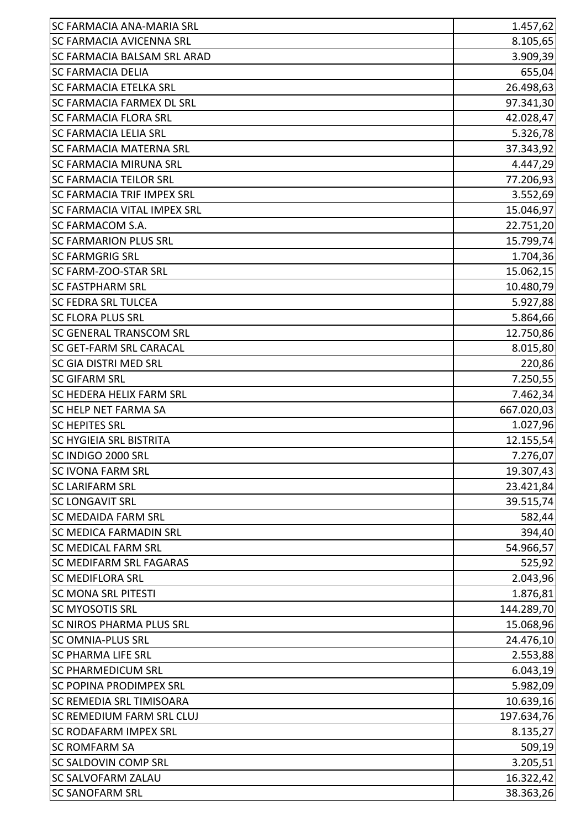| <b>SC FARMACIA ANA-MARIA SRL</b>   | 1.457,62   |
|------------------------------------|------------|
| <b>SC FARMACIA AVICENNA SRL</b>    | 8.105,65   |
| <b>SC FARMACIA BALSAM SRL ARAD</b> | 3.909,39   |
| <b>SC FARMACIA DELIA</b>           | 655,04     |
| <b>SC FARMACIA ETELKA SRL</b>      | 26.498,63  |
| <b>SC FARMACIA FARMEX DL SRL</b>   | 97.341,30  |
| <b>SC FARMACIA FLORA SRL</b>       | 42.028,47  |
| <b>SC FARMACIA LELIA SRL</b>       | 5.326,78   |
| <b>SC FARMACIA MATERNA SRL</b>     | 37.343,92  |
| <b>SC FARMACIA MIRUNA SRL</b>      | 4.447,29   |
| <b>SC FARMACIA TEILOR SRL</b>      | 77.206,93  |
| <b>SC FARMACIA TRIF IMPEX SRL</b>  | 3.552,69   |
| <b>SC FARMACIA VITAL IMPEX SRL</b> | 15.046,97  |
| <b>SC FARMACOM S.A.</b>            | 22.751,20  |
| <b>SC FARMARION PLUS SRL</b>       | 15.799,74  |
| <b>SC FARMGRIG SRL</b>             | 1.704,36   |
| SC FARM-ZOO-STAR SRL               | 15.062,15  |
| <b>SC FASTPHARM SRL</b>            | 10.480,79  |
| <b>SC FEDRA SRL TULCEA</b>         | 5.927,88   |
| <b>SC FLORA PLUS SRL</b>           | 5.864,66   |
| <b>SC GENERAL TRANSCOM SRL</b>     | 12.750,86  |
| <b>SC GET-FARM SRL CARACAL</b>     | 8.015,80   |
| <b>SC GIA DISTRI MED SRL</b>       | 220,86     |
| <b>SC GIFARM SRL</b>               | 7.250,55   |
| <b>SC HEDERA HELIX FARM SRL</b>    | 7.462,34   |
| <b>SC HELP NET FARMA SA</b>        | 667.020,03 |
| <b>SC HEPITES SRL</b>              | 1.027,96   |
| <b>SC HYGIEIA SRL BISTRITA</b>     | 12.155,54  |
| SC INDIGO 2000 SRL                 | 7.276,07   |
| <b>SC IVONA FARM SRL</b>           | 19.307,43  |
| <b>SC LARIFARM SRL</b>             | 23.421,84  |
| <b>SC LONGAVIT SRL</b>             | 39.515,74  |
| <b>SC MEDAIDA FARM SRL</b>         | 582,44     |
| <b>SC MEDICA FARMADIN SRL</b>      | 394,40     |
| <b>SC MEDICAL FARM SRL</b>         | 54.966,57  |
| <b>SC MEDIFARM SRL FAGARAS</b>     | 525,92     |
| <b>SC MEDIFLORA SRL</b>            | 2.043,96   |
| <b>SC MONA SRL PITESTI</b>         | 1.876,81   |
| <b>SC MYOSOTIS SRL</b>             | 144.289,70 |
| <b>SC NIROS PHARMA PLUS SRL</b>    | 15.068,96  |
| <b>SC OMNIA-PLUS SRL</b>           | 24.476,10  |
| <b>SC PHARMA LIFE SRL</b>          | 2.553,88   |
| <b>SC PHARMEDICUM SRL</b>          | 6.043, 19  |
| <b>SC POPINA PRODIMPEX SRL</b>     | 5.982,09   |
| <b>SC REMEDIA SRL TIMISOARA</b>    | 10.639,16  |
| <b>SC REMEDIUM FARM SRL CLUJ</b>   | 197.634,76 |
| <b>SC RODAFARM IMPEX SRL</b>       | 8.135,27   |
| <b>SC ROMFARM SA</b>               | 509,19     |
| <b>SC SALDOVIN COMP SRL</b>        | 3.205,51   |
| <b>SC SALVOFARM ZALAU</b>          | 16.322,42  |
| <b>SC SANOFARM SRL</b>             | 38.363,26  |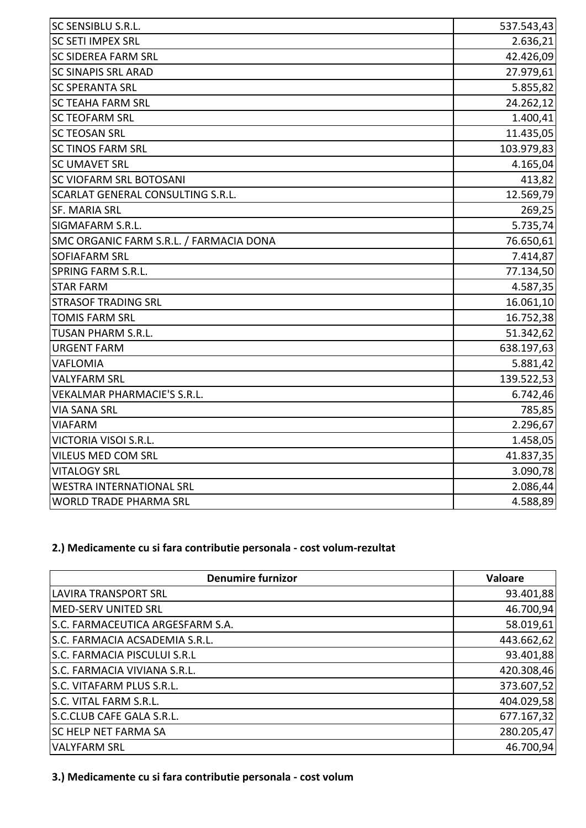| SC SENSIBLU S.R.L.                      | 537.543,43 |
|-----------------------------------------|------------|
| <b>SC SETI IMPEX SRL</b>                | 2.636,21   |
| <b>SC SIDEREA FARM SRL</b>              | 42.426,09  |
| <b>SC SINAPIS SRL ARAD</b>              | 27.979,61  |
| <b>SC SPERANTA SRL</b>                  | 5.855,82   |
| <b>SC TEAHA FARM SRL</b>                | 24.262,12  |
| <b>SC TEOFARM SRL</b>                   | 1.400,41   |
| <b>SC TEOSAN SRL</b>                    | 11.435,05  |
| <b>SC TINOS FARM SRL</b>                | 103.979,83 |
| <b>SC UMAVET SRL</b>                    | 4.165,04   |
| SC VIOFARM SRL BOTOSANI                 | 413,82     |
| SCARLAT GENERAL CONSULTING S.R.L.       | 12.569,79  |
| <b>SF. MARIA SRL</b>                    | 269,25     |
| SIGMAFARM S.R.L.                        | 5.735,74   |
| SMC ORGANIC FARM S.R.L. / FARMACIA DONA | 76.650,61  |
| SOFIAFARM SRL                           | 7.414,87   |
| <b>SPRING FARM S.R.L.</b>               | 77.134,50  |
| <b>STAR FARM</b>                        | 4.587,35   |
| <b>STRASOF TRADING SRL</b>              | 16.061,10  |
| <b>TOMIS FARM SRL</b>                   | 16.752,38  |
| <b>TUSAN PHARM S.R.L.</b>               | 51.342,62  |
| <b>URGENT FARM</b>                      | 638.197,63 |
| VAFLOMIA                                | 5.881,42   |
| <b>VALYFARM SRL</b>                     | 139.522,53 |
| VEKALMAR PHARMACIE'S S.R.L.             | 6.742,46   |
| VIA SANA SRL                            | 785,85     |
| <b>VIAFARM</b>                          | 2.296,67   |
| VICTORIA VISOI S.R.L.                   | 1.458,05   |
| VILEUS MED COM SRL                      | 41.837,35  |
| <b>VITALOGY SRL</b>                     | 3.090,78   |
| <b>WESTRA INTERNATIONAL SRL</b>         | 2.086,44   |
| <b>WORLD TRADE PHARMA SRL</b>           | 4.588,89   |

## **2.) Medicamente cu si fara contributie personala - cost volum-rezultat**

| <b>Denumire furnizor</b>         | Valoare    |
|----------------------------------|------------|
| <b>LAVIRA TRANSPORT SRL</b>      | 93.401,88  |
| MED-SERV UNITED SRL              | 46.700,94  |
| S.C. FARMACEUTICA ARGESFARM S.A. | 58.019,61  |
| S.C. FARMACIA ACSADEMIA S.R.L.   | 443.662,62 |
| S.C. FARMACIA PISCULUI S.R.L     | 93.401,88  |
| S.C. FARMACIA VIVIANA S.R.L.     | 420.308,46 |
| S.C. VITAFARM PLUS S.R.L.        | 373.607,52 |
| S.C. VITAL FARM S.R.L.           | 404.029,58 |
| S.C.CLUB CAFE GALA S.R.L.        | 677.167,32 |
| <b>SC HELP NET FARMA SA</b>      | 280.205,47 |
| <b>VALYFARM SRL</b>              | 46.700,94  |

**3.) Medicamente cu si fara contributie personala - cost volum**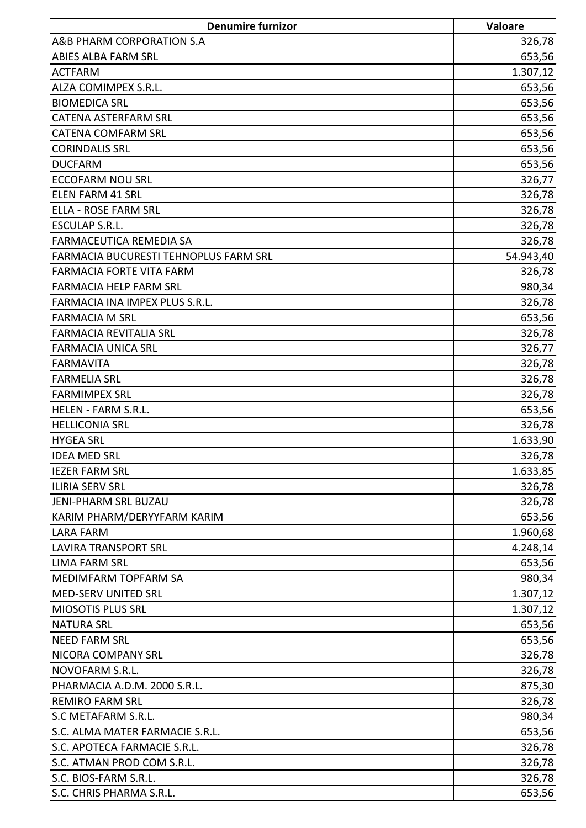| <b>Denumire furnizor</b>              | Valoare   |
|---------------------------------------|-----------|
| A&B PHARM CORPORATION S.A             | 326,78    |
| <b>ABIES ALBA FARM SRL</b>            | 653,56    |
| <b>ACTFARM</b>                        | 1.307, 12 |
| ALZA COMIMPEX S.R.L.                  | 653,56    |
| <b>BIOMEDICA SRL</b>                  | 653,56    |
| <b>CATENA ASTERFARM SRL</b>           | 653,56    |
| <b>CATENA COMFARM SRL</b>             | 653,56    |
| <b>CORINDALIS SRL</b>                 | 653,56    |
| <b>DUCFARM</b>                        | 653,56    |
| <b>ECCOFARM NOU SRL</b>               | 326,77    |
| <b>ELEN FARM 41 SRL</b>               | 326,78    |
| <b>ELLA - ROSE FARM SRL</b>           | 326,78    |
| <b>ESCULAP S.R.L.</b>                 | 326,78    |
| FARMACEUTICA REMEDIA SA               | 326,78    |
| FARMACIA BUCURESTI TEHNOPLUS FARM SRL | 54.943,40 |
| <b>FARMACIA FORTE VITA FARM</b>       | 326,78    |
| <b>FARMACIA HELP FARM SRL</b>         | 980,34    |
| FARMACIA INA IMPEX PLUS S.R.L.        | 326,78    |
| <b>FARMACIA M SRL</b>                 | 653,56    |
| <b>FARMACIA REVITALIA SRL</b>         | 326,78    |
| <b>FARMACIA UNICA SRL</b>             | 326,77    |
| <b>FARMAVITA</b>                      | 326,78    |
| <b>FARMELIA SRL</b>                   | 326,78    |
| <b>FARMIMPEX SRL</b>                  | 326,78    |
| <b>HELEN - FARM S.R.L.</b>            | 653,56    |
| <b>HELLICONIA SRL</b>                 | 326,78    |
| <b>HYGEA SRL</b>                      | 1.633,90  |
| <b>IDEA MED SRL</b>                   | 326,78    |
| <b>IEZER FARM SRL</b>                 | 1.633,85  |
| <b>ILIRIA SERV SRL</b>                | 326,78    |
| <b>JENI-PHARM SRL BUZAU</b>           | 326,78    |
| KARIM PHARM/DERYYFARM KARIM           | 653,56    |
| LARA FARM                             | 1.960,68  |
| <b>LAVIRA TRANSPORT SRL</b>           | 4.248,14  |
| <b>LIMA FARM SRL</b>                  | 653,56    |
| MEDIMFARM TOPFARM SA                  | 980,34    |
| MED-SERV UNITED SRL                   | 1.307, 12 |
| <b>MIOSOTIS PLUS SRL</b>              | 1.307, 12 |
| <b>NATURA SRL</b>                     | 653,56    |
| <b>NEED FARM SRL</b>                  | 653,56    |
| NICORA COMPANY SRL                    | 326,78    |
| NOVOFARM S.R.L.                       | 326,78    |
| PHARMACIA A.D.M. 2000 S.R.L.          | 875,30    |
| <b>REMIRO FARM SRL</b>                | 326,78    |
| S.C METAFARM S.R.L.                   | 980,34    |
| S.C. ALMA MATER FARMACIE S.R.L.       | 653,56    |
| S.C. APOTECA FARMACIE S.R.L.          | 326,78    |
| S.C. ATMAN PROD COM S.R.L.            | 326,78    |
| S.C. BIOS-FARM S.R.L.                 | 326,78    |
| S.C. CHRIS PHARMA S.R.L.              | 653,56    |
|                                       |           |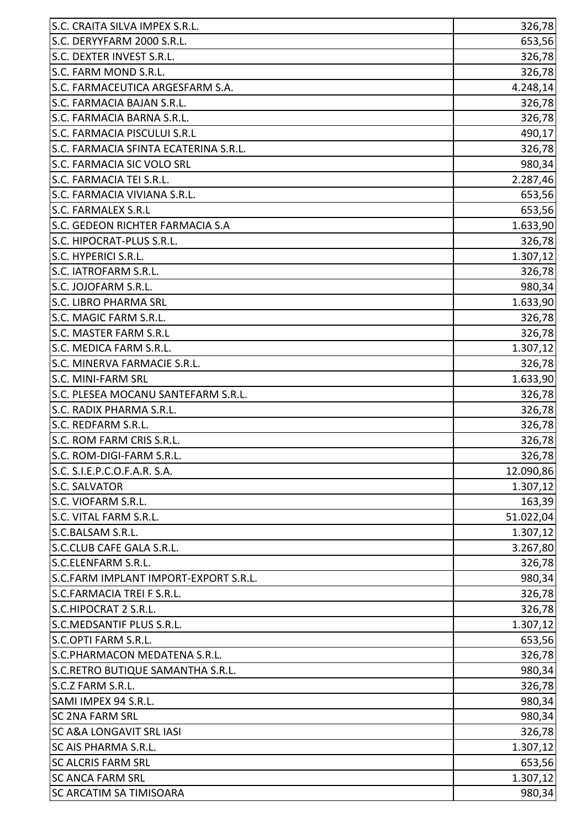| S.C. DERYYFARM 2000 S.R.L.<br>653,56<br>S.C. DEXTER INVEST S.R.L.<br>326,78<br>S.C. FARM MOND S.R.L.<br>326,78<br>4.248,14<br>S.C. FARMACIA BAJAN S.R.L.<br>326,78<br>S.C. FARMACIA BARNA S.R.L.<br>326,78<br>490,17<br>S.C. FARMACIA SFINTA ECATERINA S.R.L.<br>326,78<br>980,34<br>2.287,46<br>S.C. FARMACIA VIVIANA S.R.L.<br>653,56<br><b>S.C. FARMALEX S.R.L</b><br>653,56<br>S.C. GEDEON RICHTER FARMACIA S.A<br>1.633,90<br>326,78<br>S.C. HIPOCRAT-PLUS S.R.L.<br>S.C. HYPERICI S.R.L.<br>1.307, 12<br>S.C. IATROFARM S.R.L.<br>326,78<br>S.C. JOJOFARM S.R.L.<br>980,34<br><b>S.C. LIBRO PHARMA SRL</b><br>1.633,90<br>S.C. MAGIC FARM S.R.L.<br>326,78<br>S.C. MASTER FARM S.R.L<br>326,78<br>S.C. MEDICA FARM S.R.L.<br>1.307,12<br>S.C. MINERVA FARMACIE S.R.L.<br>326,78<br>S.C. MINI-FARM SRL<br>1.633,90<br>326,78<br>S.C. PLESEA MOCANU SANTEFARM S.R.L.<br>S.C. RADIX PHARMA S.R.L.<br>326,78<br>S.C. REDFARM S.R.L.<br>326,78<br>S.C. ROM FARM CRIS S.R.L.<br>326,78<br>326,78<br>S.C. ROM-DIGI-FARM S.R.L<br>12.090,86<br>S.C. SALVATOR<br>1.307, 12<br>163,39<br>S.C. VIOFARM S.R.L.<br>51.022,04<br>S.C.BALSAM S.R.L.<br>1.307, 12<br>S.C.CLUB CAFE GALA S.R.L.<br>3.267,80<br>326,78<br>S.C.FARM IMPLANT IMPORT-EXPORT S.R.L.<br>980,34<br>S.C.FARMACIA TREI F S.R.L.<br>326,78<br>326,78<br>1.307, 12<br>S.C.OPTI FARM S.R.L.<br>653,56<br>S.C.PHARMACON MEDATENA S.R.L.<br>326,78<br>980,34<br>326,78<br>S.C.Z FARM S.R.L.<br>980,34<br>SAMI IMPEX 94 S.R.L.<br>980,34<br><b>SC A&amp;A LONGAVIT SRL IASI</b><br>326,78<br>1.307,12<br><b>SC AIS PHARMA S.R.L.</b><br>653,56 | S.C. CRAITA SILVA IMPEX S.R.L.    | 326,78    |
|------------------------------------------------------------------------------------------------------------------------------------------------------------------------------------------------------------------------------------------------------------------------------------------------------------------------------------------------------------------------------------------------------------------------------------------------------------------------------------------------------------------------------------------------------------------------------------------------------------------------------------------------------------------------------------------------------------------------------------------------------------------------------------------------------------------------------------------------------------------------------------------------------------------------------------------------------------------------------------------------------------------------------------------------------------------------------------------------------------------------------------------------------------------------------------------------------------------------------------------------------------------------------------------------------------------------------------------------------------------------------------------------------------------------------------------------------------------------------------------------------------------------------------------------------------------------------------------------------|-----------------------------------|-----------|
|                                                                                                                                                                                                                                                                                                                                                                                                                                                                                                                                                                                                                                                                                                                                                                                                                                                                                                                                                                                                                                                                                                                                                                                                                                                                                                                                                                                                                                                                                                                                                                                                      |                                   |           |
|                                                                                                                                                                                                                                                                                                                                                                                                                                                                                                                                                                                                                                                                                                                                                                                                                                                                                                                                                                                                                                                                                                                                                                                                                                                                                                                                                                                                                                                                                                                                                                                                      |                                   |           |
|                                                                                                                                                                                                                                                                                                                                                                                                                                                                                                                                                                                                                                                                                                                                                                                                                                                                                                                                                                                                                                                                                                                                                                                                                                                                                                                                                                                                                                                                                                                                                                                                      |                                   |           |
|                                                                                                                                                                                                                                                                                                                                                                                                                                                                                                                                                                                                                                                                                                                                                                                                                                                                                                                                                                                                                                                                                                                                                                                                                                                                                                                                                                                                                                                                                                                                                                                                      | S.C. FARMACEUTICA ARGESFARM S.A.  |           |
|                                                                                                                                                                                                                                                                                                                                                                                                                                                                                                                                                                                                                                                                                                                                                                                                                                                                                                                                                                                                                                                                                                                                                                                                                                                                                                                                                                                                                                                                                                                                                                                                      |                                   |           |
|                                                                                                                                                                                                                                                                                                                                                                                                                                                                                                                                                                                                                                                                                                                                                                                                                                                                                                                                                                                                                                                                                                                                                                                                                                                                                                                                                                                                                                                                                                                                                                                                      |                                   |           |
|                                                                                                                                                                                                                                                                                                                                                                                                                                                                                                                                                                                                                                                                                                                                                                                                                                                                                                                                                                                                                                                                                                                                                                                                                                                                                                                                                                                                                                                                                                                                                                                                      | S.C. FARMACIA PISCULUI S.R.L      |           |
|                                                                                                                                                                                                                                                                                                                                                                                                                                                                                                                                                                                                                                                                                                                                                                                                                                                                                                                                                                                                                                                                                                                                                                                                                                                                                                                                                                                                                                                                                                                                                                                                      |                                   |           |
|                                                                                                                                                                                                                                                                                                                                                                                                                                                                                                                                                                                                                                                                                                                                                                                                                                                                                                                                                                                                                                                                                                                                                                                                                                                                                                                                                                                                                                                                                                                                                                                                      | <b>S.C. FARMACIA SIC VOLO SRL</b> |           |
|                                                                                                                                                                                                                                                                                                                                                                                                                                                                                                                                                                                                                                                                                                                                                                                                                                                                                                                                                                                                                                                                                                                                                                                                                                                                                                                                                                                                                                                                                                                                                                                                      | S.C. FARMACIA TEI S.R.L.          |           |
|                                                                                                                                                                                                                                                                                                                                                                                                                                                                                                                                                                                                                                                                                                                                                                                                                                                                                                                                                                                                                                                                                                                                                                                                                                                                                                                                                                                                                                                                                                                                                                                                      |                                   |           |
|                                                                                                                                                                                                                                                                                                                                                                                                                                                                                                                                                                                                                                                                                                                                                                                                                                                                                                                                                                                                                                                                                                                                                                                                                                                                                                                                                                                                                                                                                                                                                                                                      |                                   |           |
|                                                                                                                                                                                                                                                                                                                                                                                                                                                                                                                                                                                                                                                                                                                                                                                                                                                                                                                                                                                                                                                                                                                                                                                                                                                                                                                                                                                                                                                                                                                                                                                                      |                                   |           |
|                                                                                                                                                                                                                                                                                                                                                                                                                                                                                                                                                                                                                                                                                                                                                                                                                                                                                                                                                                                                                                                                                                                                                                                                                                                                                                                                                                                                                                                                                                                                                                                                      |                                   |           |
|                                                                                                                                                                                                                                                                                                                                                                                                                                                                                                                                                                                                                                                                                                                                                                                                                                                                                                                                                                                                                                                                                                                                                                                                                                                                                                                                                                                                                                                                                                                                                                                                      |                                   |           |
|                                                                                                                                                                                                                                                                                                                                                                                                                                                                                                                                                                                                                                                                                                                                                                                                                                                                                                                                                                                                                                                                                                                                                                                                                                                                                                                                                                                                                                                                                                                                                                                                      |                                   |           |
|                                                                                                                                                                                                                                                                                                                                                                                                                                                                                                                                                                                                                                                                                                                                                                                                                                                                                                                                                                                                                                                                                                                                                                                                                                                                                                                                                                                                                                                                                                                                                                                                      |                                   |           |
|                                                                                                                                                                                                                                                                                                                                                                                                                                                                                                                                                                                                                                                                                                                                                                                                                                                                                                                                                                                                                                                                                                                                                                                                                                                                                                                                                                                                                                                                                                                                                                                                      |                                   |           |
|                                                                                                                                                                                                                                                                                                                                                                                                                                                                                                                                                                                                                                                                                                                                                                                                                                                                                                                                                                                                                                                                                                                                                                                                                                                                                                                                                                                                                                                                                                                                                                                                      |                                   |           |
|                                                                                                                                                                                                                                                                                                                                                                                                                                                                                                                                                                                                                                                                                                                                                                                                                                                                                                                                                                                                                                                                                                                                                                                                                                                                                                                                                                                                                                                                                                                                                                                                      |                                   |           |
|                                                                                                                                                                                                                                                                                                                                                                                                                                                                                                                                                                                                                                                                                                                                                                                                                                                                                                                                                                                                                                                                                                                                                                                                                                                                                                                                                                                                                                                                                                                                                                                                      |                                   |           |
|                                                                                                                                                                                                                                                                                                                                                                                                                                                                                                                                                                                                                                                                                                                                                                                                                                                                                                                                                                                                                                                                                                                                                                                                                                                                                                                                                                                                                                                                                                                                                                                                      |                                   |           |
|                                                                                                                                                                                                                                                                                                                                                                                                                                                                                                                                                                                                                                                                                                                                                                                                                                                                                                                                                                                                                                                                                                                                                                                                                                                                                                                                                                                                                                                                                                                                                                                                      |                                   |           |
|                                                                                                                                                                                                                                                                                                                                                                                                                                                                                                                                                                                                                                                                                                                                                                                                                                                                                                                                                                                                                                                                                                                                                                                                                                                                                                                                                                                                                                                                                                                                                                                                      |                                   |           |
|                                                                                                                                                                                                                                                                                                                                                                                                                                                                                                                                                                                                                                                                                                                                                                                                                                                                                                                                                                                                                                                                                                                                                                                                                                                                                                                                                                                                                                                                                                                                                                                                      |                                   |           |
|                                                                                                                                                                                                                                                                                                                                                                                                                                                                                                                                                                                                                                                                                                                                                                                                                                                                                                                                                                                                                                                                                                                                                                                                                                                                                                                                                                                                                                                                                                                                                                                                      |                                   |           |
|                                                                                                                                                                                                                                                                                                                                                                                                                                                                                                                                                                                                                                                                                                                                                                                                                                                                                                                                                                                                                                                                                                                                                                                                                                                                                                                                                                                                                                                                                                                                                                                                      |                                   |           |
|                                                                                                                                                                                                                                                                                                                                                                                                                                                                                                                                                                                                                                                                                                                                                                                                                                                                                                                                                                                                                                                                                                                                                                                                                                                                                                                                                                                                                                                                                                                                                                                                      |                                   |           |
|                                                                                                                                                                                                                                                                                                                                                                                                                                                                                                                                                                                                                                                                                                                                                                                                                                                                                                                                                                                                                                                                                                                                                                                                                                                                                                                                                                                                                                                                                                                                                                                                      | S.C. S.I.E.P.C.O.F.A.R. S.A.      |           |
|                                                                                                                                                                                                                                                                                                                                                                                                                                                                                                                                                                                                                                                                                                                                                                                                                                                                                                                                                                                                                                                                                                                                                                                                                                                                                                                                                                                                                                                                                                                                                                                                      |                                   |           |
|                                                                                                                                                                                                                                                                                                                                                                                                                                                                                                                                                                                                                                                                                                                                                                                                                                                                                                                                                                                                                                                                                                                                                                                                                                                                                                                                                                                                                                                                                                                                                                                                      |                                   |           |
|                                                                                                                                                                                                                                                                                                                                                                                                                                                                                                                                                                                                                                                                                                                                                                                                                                                                                                                                                                                                                                                                                                                                                                                                                                                                                                                                                                                                                                                                                                                                                                                                      | S.C. VITAL FARM S.R.L.            |           |
|                                                                                                                                                                                                                                                                                                                                                                                                                                                                                                                                                                                                                                                                                                                                                                                                                                                                                                                                                                                                                                                                                                                                                                                                                                                                                                                                                                                                                                                                                                                                                                                                      |                                   |           |
|                                                                                                                                                                                                                                                                                                                                                                                                                                                                                                                                                                                                                                                                                                                                                                                                                                                                                                                                                                                                                                                                                                                                                                                                                                                                                                                                                                                                                                                                                                                                                                                                      |                                   |           |
|                                                                                                                                                                                                                                                                                                                                                                                                                                                                                                                                                                                                                                                                                                                                                                                                                                                                                                                                                                                                                                                                                                                                                                                                                                                                                                                                                                                                                                                                                                                                                                                                      | S.C.ELENFARM S.R.L.               |           |
|                                                                                                                                                                                                                                                                                                                                                                                                                                                                                                                                                                                                                                                                                                                                                                                                                                                                                                                                                                                                                                                                                                                                                                                                                                                                                                                                                                                                                                                                                                                                                                                                      |                                   |           |
|                                                                                                                                                                                                                                                                                                                                                                                                                                                                                                                                                                                                                                                                                                                                                                                                                                                                                                                                                                                                                                                                                                                                                                                                                                                                                                                                                                                                                                                                                                                                                                                                      |                                   |           |
|                                                                                                                                                                                                                                                                                                                                                                                                                                                                                                                                                                                                                                                                                                                                                                                                                                                                                                                                                                                                                                                                                                                                                                                                                                                                                                                                                                                                                                                                                                                                                                                                      | S.C.HIPOCRAT 2 S.R.L.             |           |
|                                                                                                                                                                                                                                                                                                                                                                                                                                                                                                                                                                                                                                                                                                                                                                                                                                                                                                                                                                                                                                                                                                                                                                                                                                                                                                                                                                                                                                                                                                                                                                                                      | S.C.MEDSANTIF PLUS S.R.L.         |           |
|                                                                                                                                                                                                                                                                                                                                                                                                                                                                                                                                                                                                                                                                                                                                                                                                                                                                                                                                                                                                                                                                                                                                                                                                                                                                                                                                                                                                                                                                                                                                                                                                      |                                   |           |
|                                                                                                                                                                                                                                                                                                                                                                                                                                                                                                                                                                                                                                                                                                                                                                                                                                                                                                                                                                                                                                                                                                                                                                                                                                                                                                                                                                                                                                                                                                                                                                                                      |                                   |           |
|                                                                                                                                                                                                                                                                                                                                                                                                                                                                                                                                                                                                                                                                                                                                                                                                                                                                                                                                                                                                                                                                                                                                                                                                                                                                                                                                                                                                                                                                                                                                                                                                      | S.C.RETRO BUTIQUE SAMANTHA S.R.L. |           |
|                                                                                                                                                                                                                                                                                                                                                                                                                                                                                                                                                                                                                                                                                                                                                                                                                                                                                                                                                                                                                                                                                                                                                                                                                                                                                                                                                                                                                                                                                                                                                                                                      |                                   |           |
|                                                                                                                                                                                                                                                                                                                                                                                                                                                                                                                                                                                                                                                                                                                                                                                                                                                                                                                                                                                                                                                                                                                                                                                                                                                                                                                                                                                                                                                                                                                                                                                                      |                                   |           |
|                                                                                                                                                                                                                                                                                                                                                                                                                                                                                                                                                                                                                                                                                                                                                                                                                                                                                                                                                                                                                                                                                                                                                                                                                                                                                                                                                                                                                                                                                                                                                                                                      | <b>SC 2NA FARM SRL</b>            |           |
|                                                                                                                                                                                                                                                                                                                                                                                                                                                                                                                                                                                                                                                                                                                                                                                                                                                                                                                                                                                                                                                                                                                                                                                                                                                                                                                                                                                                                                                                                                                                                                                                      |                                   |           |
|                                                                                                                                                                                                                                                                                                                                                                                                                                                                                                                                                                                                                                                                                                                                                                                                                                                                                                                                                                                                                                                                                                                                                                                                                                                                                                                                                                                                                                                                                                                                                                                                      |                                   |           |
|                                                                                                                                                                                                                                                                                                                                                                                                                                                                                                                                                                                                                                                                                                                                                                                                                                                                                                                                                                                                                                                                                                                                                                                                                                                                                                                                                                                                                                                                                                                                                                                                      | <b>SC ALCRIS FARM SRL</b>         |           |
|                                                                                                                                                                                                                                                                                                                                                                                                                                                                                                                                                                                                                                                                                                                                                                                                                                                                                                                                                                                                                                                                                                                                                                                                                                                                                                                                                                                                                                                                                                                                                                                                      | <b>SC ANCA FARM SRL</b>           | 1.307, 12 |
| 980,34                                                                                                                                                                                                                                                                                                                                                                                                                                                                                                                                                                                                                                                                                                                                                                                                                                                                                                                                                                                                                                                                                                                                                                                                                                                                                                                                                                                                                                                                                                                                                                                               | <b>SC ARCATIM SA TIMISOARA</b>    |           |